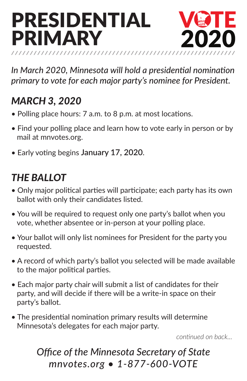# PRESIDENTIAL PRIMARY 202



*In March 2020, Minnesota will hold a presidential nomination primary to vote for each major party's nominee for President.* 

### *MARCH 3, 2020*

- Polling place hours: 7 a.m. to 8 p.m. at most locations.
- Find your polling place and learn how to vote early in person or by mail at mnvotes.org.
- Early voting begins **January 17, 2020**.

#### *THE BALLOT*

- Only major political parties will participate; each party has its own ballot with only their candidates listed.
- You will be required to request only one party's ballot when you vote, whether absentee or in-person at your polling place.
- Your ballot will only list nominees for President for the party you requested.
- A record of which party's ballot you selected will be made available to the major political parties.
- Each major party chair will submit a list of candidates for their party, and will decide if there will be a write-in space on their party's ballot.
- The presidential nomination primary results will determine Minnesota's delegates for each major party.

*continued on back...*

#### *Office of the Minnesota Secretary of State mnvotes.org • 1-877-600-VOTE*